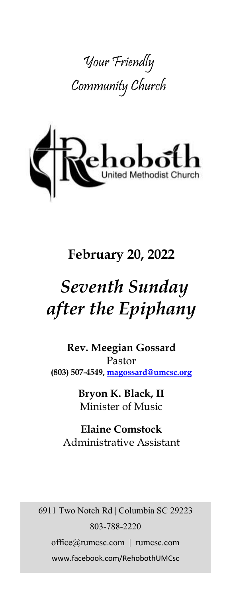



# **February 20, 2022**

# *Seventh Sunday after the Epiphany*

**Rev. Meegian Gossard** Pastor **(803) 507-4549, magossard@umcsc.org**

> **Bryon K. Black, II** Minister of Music

**Elaine Comstock** Administrative Assistant

6911 Two Notch Rd | Columbia SC 29223 803-788-2220 office@rumcsc.com | rumcsc.com www.facebook.com/RehobothUMCsc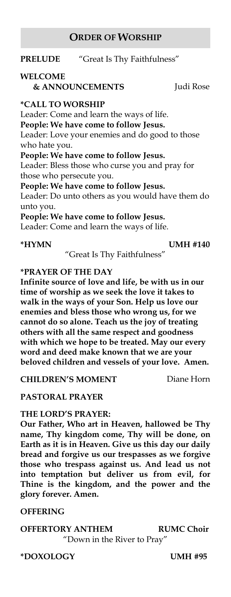### **ORDER OF WORSHIP**

**PRELUDE** "Great Is Thy Faithfulness"

### **WELCOME**

 **& ANNOUNCEMENTS** Judi Rose

#### **\*CALL TO WORSHIP**

Leader: Come and learn the ways of life. **People: We have come to follow Jesus.** Leader: Love your enemies and do good to those who hate you. **People: We have come to follow Jesus.** Leader: Bless those who curse you and pray for those who persecute you. **People: We have come to follow Jesus.** Leader: Do unto others as you would have them do unto you. **People: We have come to follow Jesus.** Leader: Come and learn the ways of life.

**\*HYMN UMH #140**

"Great Is Thy Faithfulness"

#### **\*PRAYER OF THE DAY**

**Infinite source of love and life, be with us in our time of worship as we seek the love it takes to walk in the ways of your Son. Help us love our enemies and bless those who wrong us, for we cannot do so alone. Teach us the joy of treating others with all the same respect and goodness with which we hope to be treated. May our every word and deed make known that we are your beloved children and vessels of your love. Amen.** 

**CHILDREN'S MOMENT** Diane Horn

**PASTORAL PRAYER**

#### **THE LORD'S PRAYER:**

**Our Father, Who art in Heaven, hallowed be Thy name, Thy kingdom come, Thy will be done, on Earth as it is in Heaven. Give us this day our daily bread and forgive us our trespasses as we forgive those who trespass against us. And lead us not into temptation but deliver us from evil, for Thine is the kingdom, and the power and the glory forever. Amen.** 

#### **OFFERING**

#### **OFFERTORY ANTHEM RUMC Choir**  "Down in the River to Pray"

**\*DOXOLOGY UMH #95**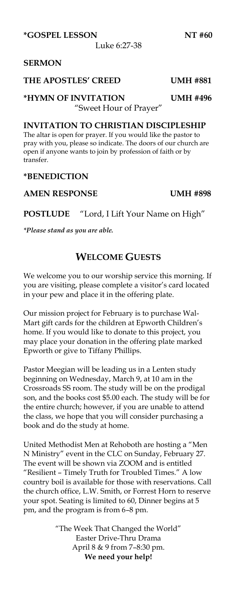**\*GOSPEL LESSON NT #60**

Luke 6:27-38

#### **SERMON**

#### **THE APOSTLES' CREED UMH #881**

#### **\*HYMN OF INVITATION UMH #496** "Sweet Hour of Prayer"

#### **INVITATION TO CHRISTIAN DISCIPLESHIP**

The altar is open for prayer. If you would like the pastor to pray with you, please so indicate. The doors of our church are open if anyone wants to join by profession of faith or by transfer.

#### **\*BENEDICTION**

#### **AMEN RESPONSE UMH #898**

**POSTLUDE** "Lord, I Lift Your Name on High"

*\*Please stand as you are able.*

#### **WELCOME GUESTS**

We welcome you to our worship service this morning. If you are visiting, please complete a visitor's card located in your pew and place it in the offering plate.

Our mission project for February is to purchase Wal-Mart gift cards for the children at Epworth Children's home. If you would like to donate to this project, you may place your donation in the offering plate marked Epworth or give to Tiffany Phillips.

Pastor Meegian will be leading us in a Lenten study beginning on Wednesday, March 9, at 10 am in the Crossroads SS room. The study will be on the prodigal son, and the books cost \$5.00 each. The study will be for the entire church; however, if you are unable to attend the class, we hope that you will consider purchasing a book and do the study at home.

United Methodist Men at Rehoboth are hosting a "Men N Ministry" event in the CLC on Sunday, February 27. The event will be shown via ZOOM and is entitled "Resilient – Timely Truth for Troubled Times." A low country boil is available for those with reservations. Call the church office, L.W. Smith, or Forrest Horn to reserve your spot. Seating is limited to 60, Dinner begins at 5 pm, and the program is from 6–8 pm.

> "The Week That Changed the World" Easter Drive-Thru Drama April 8 & 9 from 7–8:30 pm. **We need your help!**